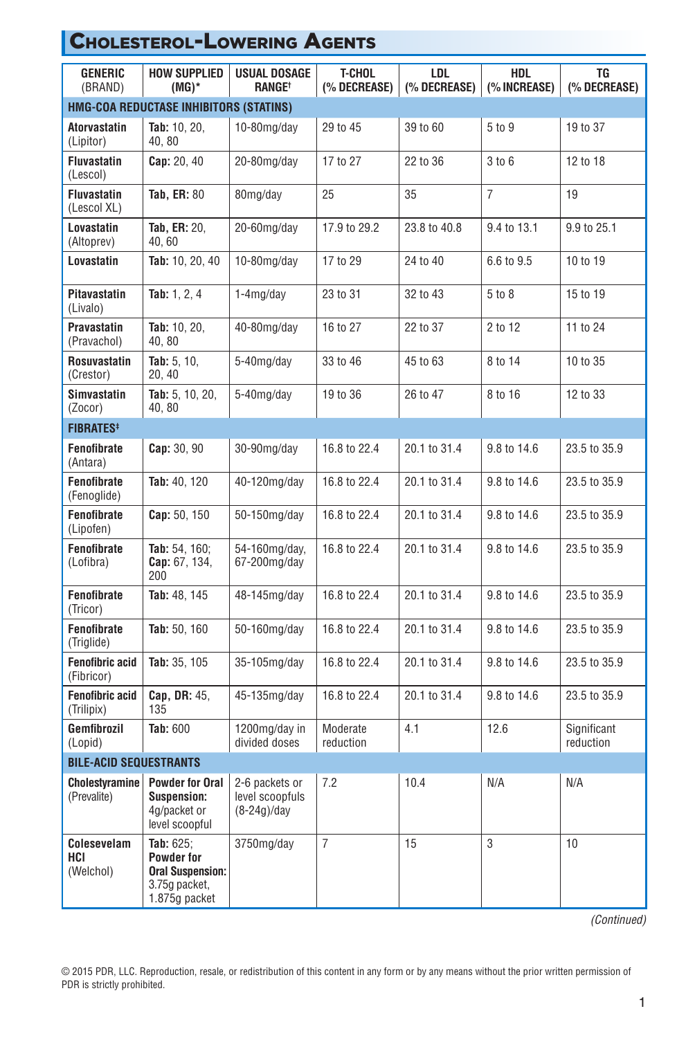| <b>GENERIC</b><br>(BRAND)            | <b>HOW SUPPLIED</b><br>$(MG)^*$                                                               | USUAL DOSAGE<br><b>RANGE<sup>+</sup></b>           | <b>T-CHOL</b><br>(% DECREASE) | LDL.<br>(% DECREASE) | <b>HDL</b><br>(% INCREASE) | TG<br>(% DECREASE)       |  |  |  |  |
|--------------------------------------|-----------------------------------------------------------------------------------------------|----------------------------------------------------|-------------------------------|----------------------|----------------------------|--------------------------|--|--|--|--|
|                                      | HMG-COA REDUCTASE INHIBITORS (STATINS)                                                        |                                                    |                               |                      |                            |                          |  |  |  |  |
| <b>Atorvastatin</b><br>(Lipitor)     | Tab: 10, 20,<br>40, 80                                                                        | $10-80$ mg/day                                     | 29 to 45                      | 39 to 60             | 5 to 9                     | 19 to 37                 |  |  |  |  |
| <b>Fluvastatin</b><br>(Lescol)       | Cap: 20, 40                                                                                   | 20-80mg/day                                        | 17 to 27                      | 22 to 36             | 3 to 6                     | 12 to 18                 |  |  |  |  |
| <b>Fluvastatin</b><br>(Lescol XL)    | <b>Tab, ER: 80</b>                                                                            | 80mg/day                                           | 25                            | 35                   | $\overline{7}$             | 19                       |  |  |  |  |
| Lovastatin<br>(Altoprev)             | <b>Tab, ER: 20.</b><br>40, 60                                                                 | 20-60mg/day                                        | 17.9 to 29.2                  | 23.8 to 40.8         | 9.4 to 13.1                | 9.9 to 25.1              |  |  |  |  |
| Lovastatin                           | Tab: 10, 20, 40                                                                               | $10-80$ mg/day                                     | 17 to 29                      | 24 to 40             | 6.6 to 9.5                 | 10 to 19                 |  |  |  |  |
| <b>Pitavastatin</b><br>(Livalo)      | Tab: 1, 2, 4                                                                                  | $1-4mq/day$                                        | 23 to 31                      | 32 to 43             | 5 to 8                     | 15 to 19                 |  |  |  |  |
| <b>Pravastatin</b><br>(Pravachol)    | Tab: 10, 20,<br>40, 80                                                                        | 40-80mg/day                                        | 16 to 27                      | 22 to 37             | 2 to 12                    | 11 to 24                 |  |  |  |  |
| <b>Rosuvastatin</b><br>(Crestor)     | Tab: $5, 10,$<br>20, 40                                                                       | 5-40mg/day                                         | 33 to 46                      | 45 to 63             | 8 to 14                    | 10 to 35                 |  |  |  |  |
| <b>Simvastatin</b><br>(Zocor)        | Tab: 5, 10, 20,<br>40, 80                                                                     | 5-40mg/day                                         | 19 to 36                      | 26 to 47             | 8 to 16                    | 12 to 33                 |  |  |  |  |
| <b>FIBRATES#</b>                     |                                                                                               |                                                    |                               |                      |                            |                          |  |  |  |  |
| <b>Fenofibrate</b><br>(Antara)       | Cap: 30, 90                                                                                   | 30-90mg/day                                        | 16.8 to 22.4                  | 20.1 to 31.4         | 9.8 to 14.6                | 23.5 to 35.9             |  |  |  |  |
| Fenofibrate<br>(Fenoglide)           | Tab: 40, 120                                                                                  | 40-120mg/day                                       | 16.8 to 22.4                  | 20.1 to 31.4         | 9.8 to 14.6                | 23.5 to 35.9             |  |  |  |  |
| Fenofibrate<br>(Lipofen)             | Cap: 50, 150                                                                                  | 50-150mg/day                                       | 16.8 to 22.4                  | 20.1 to 31.4         | 9.8 to 14.6                | 23.5 to 35.9             |  |  |  |  |
| Fenofibrate<br>(Lofibra)             | Tab: 54, 160;<br>Cap: 67, 134,<br>200                                                         | 54-160mg/day,<br>67-200mg/day                      | 16.8 to 22.4                  | 20.1 to 31.4         | 9.8 to 14.6                | 23.5 to 35.9             |  |  |  |  |
| Fenofibrate<br>(Tricor)              | Tab: 48, 145                                                                                  | 48-145mg/day                                       | 16.8 to 22.4                  | 20.1 to 31.4         | 9.8 to 14.6                | 23.5 to 35.9             |  |  |  |  |
| Fenofibrate<br>(Triglide)            | Tab: 50, 160                                                                                  | 50-160mg/day                                       | 16.8 to 22.4                  | 20.1 to 31.4         | 9.8 to 14.6                | 23.5 to 35.9             |  |  |  |  |
| <b>Fenofibric acid</b><br>(Fibricor) | Tab: 35, 105                                                                                  | 35-105mg/day                                       | 16.8 to 22.4                  | 20.1 to 31.4         | 9.8 to 14.6                | 23.5 to 35.9             |  |  |  |  |
| <b>Fenofibric acid</b><br>(Trilipix) | Cap. DR: 45.<br>135                                                                           | 45-135mg/day                                       | 16.8 to 22.4                  | 20.1 to 31.4         | 9.8 to 14.6                | 23.5 to 35.9             |  |  |  |  |
| Gemfibrozil<br>(Lopid)               | <b>Tab: 600</b>                                                                               | 1200mg/day in<br>divided doses                     | Moderate<br>reduction         | 4.1                  | 12.6                       | Significant<br>reduction |  |  |  |  |
| <b>BILE-ACID SEQUESTRANTS</b>        |                                                                                               |                                                    |                               |                      |                            |                          |  |  |  |  |
| <b>Cholestyramine</b><br>(Prevalite) | <b>Powder for Oral</b><br><b>Suspension:</b><br>4g/packet or<br>level scoopful                | 2-6 packets or<br>level scoopfuls<br>$(8-24q)/day$ | 7.2                           | 10.4                 | N/A                        | N/A                      |  |  |  |  |
| Colesevelam<br>HCI<br>(Welchol)      | Tab: $625:$<br><b>Powder for</b><br><b>Oral Suspension:</b><br>3.75g packet.<br>1.875g packet | 3750mg/day                                         | $\overline{7}$                | 15                   | 3                          | 10                       |  |  |  |  |

Cholesterol-Lowering Agents

## *(Continued)*